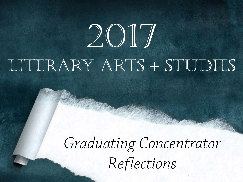# 2017 LITERARY ARTS + STUDIES

# *Graduating Concentrator Reflections*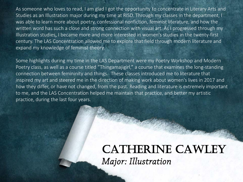As someone who loves to read, I am glad I got the opportunity to concentrate in Literary Arts and Studies as an Illustration major during my time at RISD. Through my classes in the department, I was able to learn more about poetry, confessional nonfiction, feminist literature, and how the written word has such a close and strong connection with visual art. As I progressed through my Illustration studies, I became more and more interested in women's studies in the twenty-first century. The LAS Concentration allowed me to explore that field through modern literature and expand my knowledge of feminist theory.

Some highlights during my time in the LAS Department were my Poetry Workshop and Modern Poetry class, as well as a course titled "Thingamajigirl," a course that examines the long-standing connection between femininity and things. These classes introduced me to literature that inspired my art and steered me in the direction of making work about women's lives in 2017 and how they differ, or have not changed, from the past. Reading and literature is extremely important to me, and the LAS Concentration helped me maintain that practice, and better my artistic practice, during the last four years.

#### CATHERINE CAWLEY *Major: Illustration*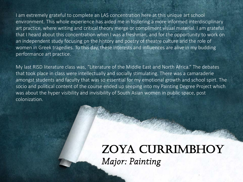I am extremely grateful to complete an LAS concentration here at this unique art school environment. This whole experience has aided me in fostering a more informed interdisciplinary art practice, where writing and critical theory merge or compliment visual material. I am grateful that I heard about this concentration when I was a freshman, and for the opportunity to work on an independent study focusing on the history and poetry of theatre culture and the role of women in Greek tragedies. To this day, these interests and influences are alive in my budding performance art practice.

My last RISD literature class was, "Literature of the Middle East and North Africa." The debates that took place in class were intellectually and socially stimulating. There was a camaraderie amongst students and faculty that was so essential for my emotional growth and school spirt. The socio and political content of the course ended up seeping into my Painting Degree Project which was about the hyper visibility and invisibility of South Asian women in public space, post colonization.

#### Zoya Currimbhoy *Major: Painting*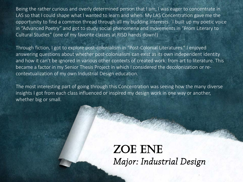Being the rather curious and overly determined person that I am, I was eager to concentrate in LAS so that I could shape what I wanted to learn and when. My LAS Concentration gave me the opportunity to find a common thread through all my budding interests. I built up my poetic voice in "Advanced Poetry" and got to study social phenomena and movements in "From Literary to Cultural Studies" (one of my favorite classes at RISD hands down!)

Through fiction, I got to explore post-colonialism in "Post-Colonial Literatures." I enjoyed answering questions about whether post-colonialism can exist as its own independent identity and how it can't be ignored in various other contexts of created work: from art to literature. This became a factor in my Senior Thesis Project in which I considered the decolonization or recontextualization of my own Industrial Design education.

The most interesting part of going through this Concentration was seeing how the many diverse insights I got from each class influenced or inspired my design work in one way or another, whether big or small.

#### ZOE ENE *Major: Industrial Design*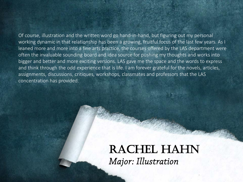Of course, illustration and the written word go hand-in-hand, but figuring out my personal working dynamic in that relationship has been a growing, fruitful focus of the last few years. As I leaned more and more into a fine arts practice, the courses offered by the LAS department were often the invaluable sounding board and idea source for pushing my thoughts and works into bigger and better and more exciting versions. LAS gave me the space and the words to express and think through the odd experience that is life. I am forever grateful for the novels, articles, assignments, discussions, critiques, workshops, classmates and professors that the LAS concentration has provided.

#### RACHEL HAHN *Major: Illustration*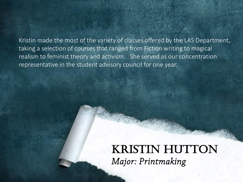Kristin made the most of the variety of classes offered by the LAS Department, taking a selection of courses that ranged from Fiction writing to magical realism to feminist theory and activism. She served as our concentration representative in the student advisory council for one year.

# **KRISTIN HUTTON** *Major: Printmaking*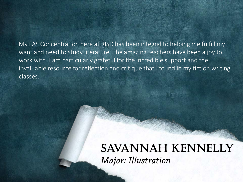My LAS Concentration here at RISD has been integral to helping me fulfill my want and need to study literature. The amazing teachers have been a joy to work with. I am particularly grateful for the incredible support and the invaluable resource for reflection and critique that I found in my fiction writing classes.

#### Savannah Kennelly *Major: Illustration*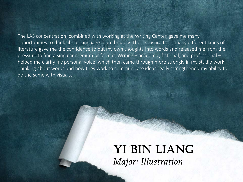The LAS concentration, combined with working at the Writing Center, gave me many opportunities to think about language more broadly. The exposure to so many different kinds of literature gave me the confidence to put my own thoughts into words and released me from the pressure to find a singular medium or format. Writing – academic, fictional, and professional – helped me clarify my personal voice, which then came through more strongly in my studio work. Thinking about words and how they work to communicate ideas really strengthened my ability to do the same with visuals.

#### YI BIN LIANG *Major: Illustration*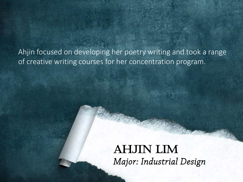Ahjin focused on developing her poetry writing and took a range of creative writing courses for her concentration program.

# Ahjin Lim *Major: Industrial Design*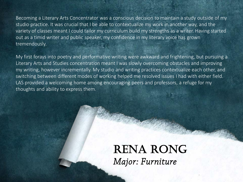Becoming a Literary Arts Concentrator was a conscious decision to maintain a study outside of my studio practice. It was crucial that I be able to contextualize my work in another way, and the variety of classes meant I could tailor my curriculum build my strengths as a writer. Having started out as a timid writer and public speaker, my confidence in my literary voice has grown tremendously.

My first forays into poetry and performative writing were awkward and frightening, but pursuing a Literary Arts and Studies concentration meant I was slowly overcoming obstacles and improving my writing, however incrementally. My studio and writing practices contextualize each other, and switching between different modes of working helped me resolved issues I had with either field. LAS provided a welcoming home among encouraging peers and professors, a refuge for my thoughts and ability to express them.

#### **RENA RONG** *Major: Furniture*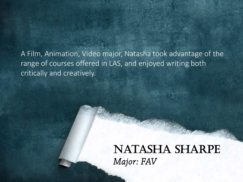A Film, Animation, Video major, Natasha took advantage of the range of courses offered in LAS, and enjoyed writing both critically and creatively.

# Natasha Sharpe *Major: FAV*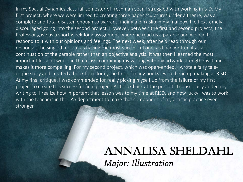In my Spatial Dynamics class fall semester of freshman year, I struggled with working in 3-D. My first project, where we were limited to creating three paper sculptures under a theme, was a complete and total disaster, enough to warrant finding a pink slip in my mailbox. I felt extremely discouraged going into the second project. However, between the first and second projects, the Professor gave us a short week-long assignment where he read us a parable and we had to respond to it with our opinions and feelings. The next week, after he'd read through our responses, he singled me out as having the most successful one, as I had written it as a continuation of the parable rather than an objective analysis. It was then I learned the most important lesson I would in that class: combining my writing with my artwork strengthens it and makes it more compelling. For my second project, which was open-ended, I wrote a fairy taleesque story and created a book form for it, the first of many books I would end up making at RISD. At my final critique, I was commended for really picking myself up from the failure of my first project to create this successful final project. As I look back at the projects I consciously added my writing to, I realize how important that lesson was to my time at RISD, and how lucky I was to work with the teachers in the LAS department to make that component of my artistic practice even stronger.

#### Annalisa Sheldahl *Major: Illustration*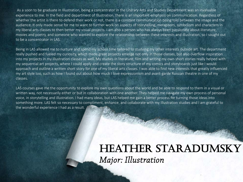As a soon to be graduate in Illustration, being a concentrator in the Literary Arts and Studies Department was an invaluable experience to me. In the field and department of Illustration, there is an important emphasis on communication. Regardless of whether the artist is there to defend their work or not, there is a constant communication being told between the image and the audience. It only made sense for me to want to further work on aspects of storytelling, metaphors, symbolism and characters in my liberal arts classes to then better my visual projects. I am also a person who has always been passionate about literature, movies and poetry, and someone who wanted to explore the relationship between these interests and illustration, so I sought out to be a concentrator in LAS.

Being in LAS allowed me to nurture and spend my school time tailored to studying my other interests outside art. The department really pushed and fueled my curiosity, which made great projects emerge not only in those classes, but also overflow inspiration into my projects in my illustration classes as well. My studies in literature, film and writing my own short stories really helped with my sequential art projects, where I could apply and create the story structure of my comics and storyboards just like I would approach and outline a written short story for one of my liberal arts classes. I was able to find new interests that greatly influenced my art style too, such as how I found out about how much I love expressionism and avant-garde Russian theatre in one of my classes.

LAS courses gave me the opportunity to explore my own questions about the world and be able to respond to them in a visual or written way, not necessarily either or but in collaboration with one another. They helped me navigate my own process of personal voice, in storytelling and illustration. I had many ideas, but LAS helped me gain a better process for turning those ideas into something more. LAS felt so necessary to compliment, enhance, and collaborate with my Illustration studies and I am grateful to the wonderful experience I had as a result.

#### HEATHER STARADUMSKY *Major: Illustration*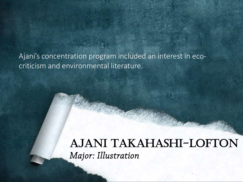Ajani's concentration program included an interest in ecocriticism and environmental literature.

#### Ajani Takahashi-Lofton *Major: Illustration*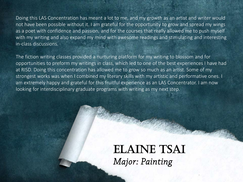Doing this LAS Concentration has meant a lot to me, and my growth as an artist and writer would not have been possible without it. I am grateful for the opportunity to grow and spread my wings as a poet with confidence and passion, and for the courses that really allowed me to push myself with my writing and also expand my mind with awesome readings and stimulating and interesting in-class discussions.

The fiction writing classes provided a nurturing platform for my writing to blossom and for opportunities to preform my writings in class, which led to one of the best experiences I have had at RISD. Doing this concentration has allowed me to grow so much as an artist. Some of my strongest works was when I combined my literary skills with my artistic and performative ones. I am extremely happy and grateful for this fruitful experience as an LAS Concentrator. I am now looking for interdisciplinary graduate programs with writing as my next step.

### ELAINE TSAI *Major: Painting*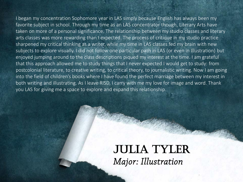I began my concentration Sophomore year in LAS simply because English has always been my favorite subject in school. Through my time as an LAS concentrator though, Literary Arts have taken on more of a personal significance. The relationship between my studio classes and literary arts classes was more rewarding than I expected. The process of critique in my studio practice sharpened my critical thinking as a writer, while my time in LAS classes fed my brain with new subjects to explore visually. I did not follow one particular path in LAS (or even in Illustration) but enjoyed jumping around to the class descriptions piqued my interest at the time. I am grateful that this approach allowed me to study things that I never expected I would get to study: from postcolonial literature, to creative writing, to critical theory, to journalistic writing. Now I am going into the field of children's books where I have found the perfect marriage between my interest in both writing and illustrating. As I leave RISD, I carry with me my love for image and word. Thank you LAS for giving me a space to explore and expand this relationship.

#### Julia Tyler *Major: Illustration*